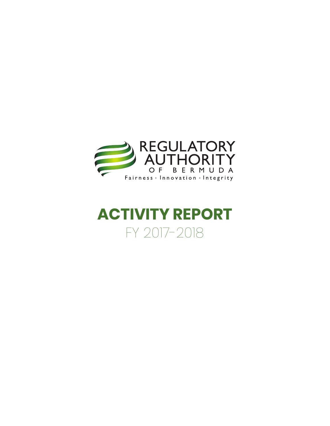

# **ACTIVITY REPORT** FY 2017-2018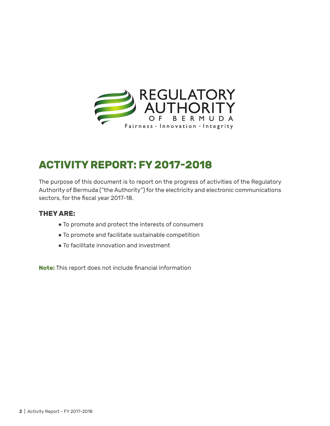

## **ACTIVITY REPORT: FY 2017-2018**

The purpose of this document is to report on the progress of activities of the Regulatory Authority of Bermuda ("the Authority") for the electricity and electronic communications sectors, for the fiscal year 2017-18.

#### **THEY ARE:**

- **●** To promote and protect the interests of consumers
- **●** To promote and facilitate sustainable competition
- **●** To facilitate innovation and investment

**Note:** This report does not include financial information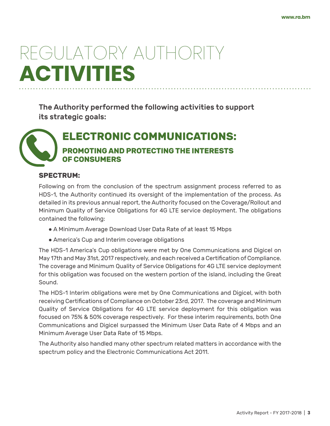# REGULATORY AUTHORITY **ACTIVITIES**

The Authority performed the following activities to support its strategic goals:

**ELECTRONIC COMMUNICATIONS: PROMOTING AND PROTECTING THE INTERESTS OF CONSUMERS**

#### **SPECTRUM:**

Following on from the conclusion of the spectrum assignment process referred to as HDS-1, the Authority continued its oversight of the implementation of the process. As detailed in its previous annual report, the Authority focused on the Coverage/Rollout and Minimum Quality of Service Obligations for 4G LTE service deployment. The obligations contained the following:

- **●** A Minimum Average Download User Data Rate of at least 15 Mbps
- **●** America's Cup and Interim coverage obligations

The HDS-1 America's Cup obligations were met by One Communications and Digicel on May 17th and May 31st, 2017 respectively, and each received a Certification of Compliance. The coverage and Minimum Quality of Service Obligations for 4G LTE service deployment for this obligation was focused on the western portion of the island, including the Great Sound.

The HDS-1 Interim obligations were met by One Communications and Digicel, with both receiving Certifications of Compliance on October 23rd, 2017. The coverage and Minimum Quality of Service Obligations for 4G LTE service deployment for this obligation was focused on 75% & 50% coverage respectively. For these interim requirements, both One Communications and Digicel surpassed the Minimum User Data Rate of 4 Mbps and an Minimum Average User Data Rate of 15 Mbps.

The Authority also handled many other spectrum related matters in accordance with the spectrum policy and the Electronic Communications Act 2011.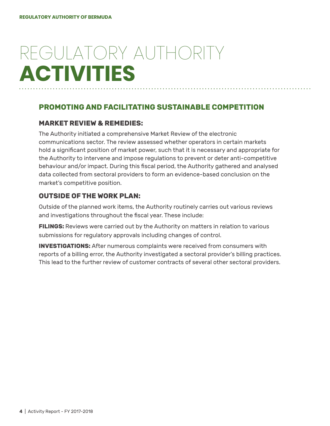# REGULATORY AUTHORITY **ACTIVITIES**

### **PROMOTING AND FACILITATING SUSTAINABLE COMPETITION**

### **MARKET REVIEW & REMEDIES:**

The Authority initiated a comprehensive Market Review of the electronic communications sector. The review assessed whether operators in certain markets hold a significant position of market power, such that it is necessary and appropriate for the Authority to intervene and impose regulations to prevent or deter anti-competitive behaviour and/or impact. During this fiscal period, the Authority gathered and analysed data collected from sectoral providers to form an evidence-based conclusion on the market's competitive position.

### **OUTSIDE OF THE WORK PLAN:**

Outside of the planned work items, the Authority routinely carries out various reviews and investigations throughout the fiscal year. These include:

**FILINGS:** Reviews were carried out by the Authority on matters in relation to various submissions for regulatory approvals including changes of control.

**INVESTIGATIONS:** After numerous complaints were received from consumers with reports of a billing error, the Authority investigated a sectoral provider's billing practices. This lead to the further review of customer contracts of several other sectoral providers.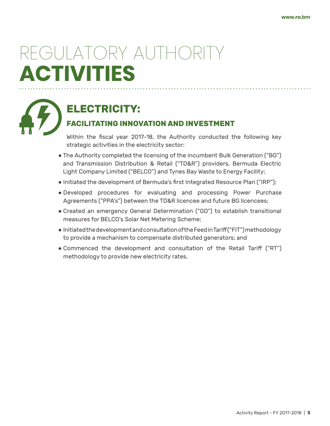# REGULATORY AUTHORITY **ACTIVITIES**



## **ELECTRICITY:**

## **FACILITATING INNOVATION AND INVESTMENT**

Within the fiscal year 2017-18, the Authority conducted the following key strategic activities in the electricity sector:

- **●** The Authority completed the licensing of the incumbent Bulk Generation ("BG") and Transmission Distribution & Retail ("TD&R") providers, Bermuda Electric Light Company Limited ("BELCO") and Tynes Bay Waste to Energy Facility;
- **●** Initiated the development of Bermuda's first Integrated Resource Plan ("IRP");
- **●** Developed procedures for evaluating and processing Power Purchase Agreements ("PPA's") between the TD&R licencee and future BG licencees;
- **●** Created an emergency General Determination ("GD") to establish transitional measures for BELCO's Solar Net Metering Scheme;
- **●** Initiated the development and consultation of the Feed in Tariff ("FIT") methodology to provide a mechanism to compensate distributed generators; and
- **●** Commenced the development and consultation of the Retail Tariff ("RT") methodology to provide new electricity rates.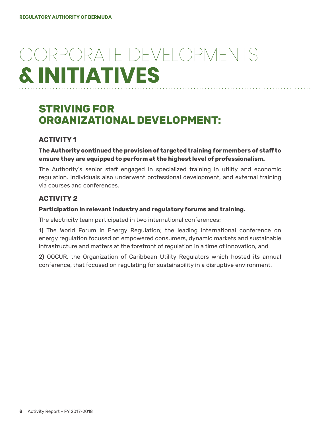# CORPORATE DEVELOPMENTS **& INITIATIVES**

## **STRIVING FOR ORGANIZATIONAL DEVELOPMENT:**

### **ACTIVITY 1**

**The Authority continued the provision of targeted training for members of staff to ensure they are equipped to perform at the highest level of professionalism.**

The Authority's senior staff engaged in specialized training in utility and economic regulation. Individuals also underwent professional development, and external training via courses and conferences.

### **ACTIVITY 2**

#### **Participation in relevant industry and regulatory forums and training.**

The electricity team participated in two international conferences:

1) The World Forum in Energy Regulation; the leading international conference on energy regulation focused on empowered consumers, dynamic markets and sustainable infrastructure and matters at the forefront of regulation in a time of innovation, and

2) OOCUR, the Organization of Caribbean Utility Regulators which hosted its annual conference, that focused on regulating for sustainability in a disruptive environment.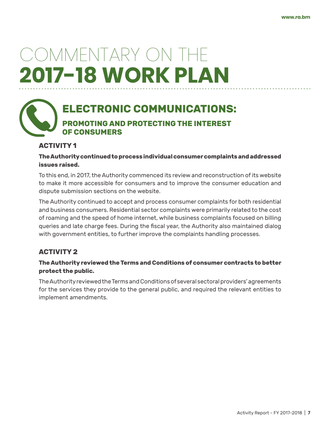## **ELECTRONIC COMMUNICATIONS: PROMOTING AND PROTECTING THE INTEREST OF CONSUMERS**

#### **ACTIVITY 1**

#### **The Authority continued to process individual consumer complaints and addressed issues raised.**

To this end, in 2017, the Authority commenced its review and reconstruction of its website to make it more accessible for consumers and to improve the consumer education and dispute submission sections on the website.

The Authority continued to accept and process consumer complaints for both residential and business consumers. Residential sector complaints were primarily related to the cost of roaming and the speed of home internet, while business complaints focused on billing queries and late charge fees. During the fiscal year, the Authority also maintained dialog with government entities, to further improve the complaints handling processes.

#### **ACTIVITY 2**

#### **The Authority reviewed the Terms and Conditions of consumer contracts to better protect the public.**

The Authority reviewed the Terms and Conditions of several sectoral providers' agreements for the services they provide to the general public, and required the relevant entities to implement amendments.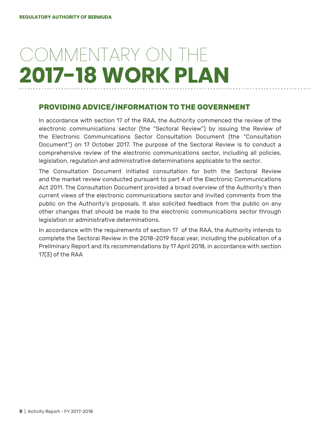### **PROVIDING ADVICE/INFORMATION TO THE GOVERNMENT**

In accordance with section 17 of the RAA, the Authority commenced the review of the electronic communications sector (the "Sectoral Review") by issuing the Review of the Electronic Communications Sector Consultation Document (the "Consultation Document") on 17 October 2017. The purpose of the Sectoral Review is to conduct a comprehensive review of the electronic communications sector, including all policies, legislation, regulation and administrative determinations applicable to the sector.

The Consultation Document initiated consultation for both the Sectoral Review and the market review conducted pursuant to part 4 of the Electronic Communications Act 2011. The Consultation Document provided a broad overview of the Authority's then current views of the electronic communications sector and invited comments from the public on the Authority's proposals. It also solicited feedback from the public on any other changes that should be made to the electronic communications sector through legislation or administrative determinations.

In accordance with the requirements of section 17 of the RAA, the Authority intends to complete the Sectoral Review in the 2018-2019 fiscal year, including the publication of a Preliminary Report and its recommendations by 17 April 2018, in accordance with section 17(3) of the RAA.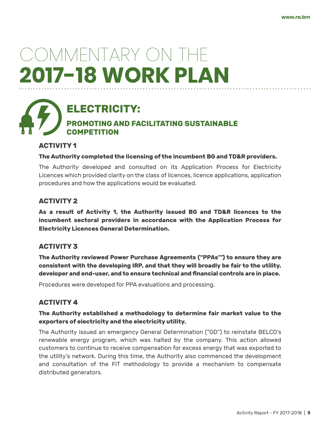## **ELECTRICITY: PROMOTING AND FACILITATING SUSTAINABLE COMPETITION**

#### **ACTIVITY 1**

#### **The Authority completed the licensing of the incumbent BG and TD&R providers.**

The Authority developed and consulted on its Application Process for Electricity Licences which provided clarity on the class of licences, licence applications, application procedures and how the applications would be evaluated.

#### **ACTIVITY 2**

**As a result of Activity 1, the Authority issued BG and TD&R licences to the incumbent sectoral providers in accordance with the Application Process for Electricity Licences General Determination.**

#### **ACTIVITY 3**

**The Authority reviewed Power Purchase Agreements ("PPAs'") to ensure they are consistent with the developing IRP, and that they will broadly be fair to the utility, developer and end-user, and to ensure technical and financial controls are in place.** 

Procedures were developed for PPA evaluations and processing.

#### **ACTIVITY 4**

#### **The Authority established a methodology to determine fair market value to the exporters of electricity and the electricity utility.**

The Authority issued an emergency General Determination ("GD") to reinstate BELCO's renewable energy program, which was halted by the company. This action allowed customers to continue to receive compensation for excess energy that was exported to the utility's network. During this time, the Authority also commenced the development and consultation of the FIT methodology to provide a mechanism to compensate distributed generators.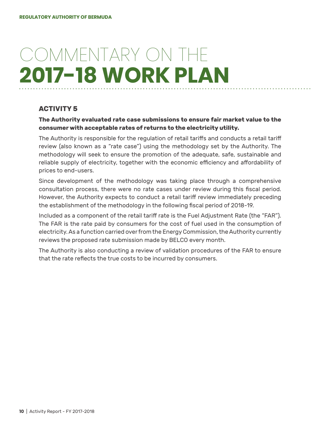### **ACTIVITY 5**

#### **The Authority evaluated rate case submissions to ensure fair market value to the consumer with acceptable rates of returns to the electricity utility.**

The Authority is responsible for the regulation of retail tariffs and conducts a retail tariff review (also known as a "rate case") using the methodology set by the Authority. The methodology will seek to ensure the promotion of the adequate, safe, sustainable and reliable supply of electricity, together with the economic efficiency and affordability of prices to end-users.

Since development of the methodology was taking place through a comprehensive consultation process, there were no rate cases under review during this fiscal period. However, the Authority expects to conduct a retail tariff review immediately preceding the establishment of the methodology in the following fiscal period of 2018-19.

Included as a component of the retail tariff rate is the Fuel Adjustment Rate (the "FAR"). The FAR is the rate paid by consumers for the cost of fuel used in the consumption of electricity. As a function carried over from the Energy Commission, the Authority currently reviews the proposed rate submission made by BELCO every month.

The Authority is also conducting a review of validation procedures of the FAR to ensure that the rate reflects the true costs to be incurred by consumers.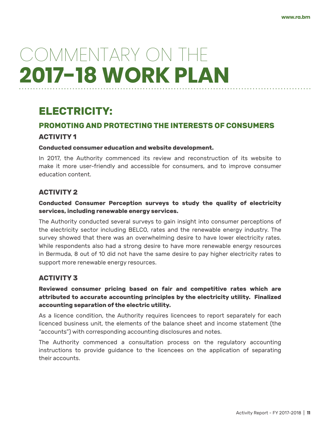## **ELECTRICITY:**

# **PROMOTING AND PROTECTING THE INTERESTS OF CONSUMERS**

#### **ACTIVITY 1**

#### **Conducted consumer education and website development.**

In 2017, the Authority commenced its review and reconstruction of its website to make it more user-friendly and accessible for consumers, and to improve consumer education content.

#### **ACTIVITY 2**

#### **Conducted Consumer Perception surveys to study the quality of electricity services, including renewable energy services.**

The Authority conducted several surveys to gain insight into consumer perceptions of the electricity sector including BELCO, rates and the renewable energy industry. The survey showed that there was an overwhelming desire to have lower electricity rates. While respondents also had a strong desire to have more renewable energy resources in Bermuda, 8 out of 10 did not have the same desire to pay higher electricity rates to support more renewable energy resources.

#### **ACTIVITY 3**

#### **Reviewed consumer pricing based on fair and competitive rates which are attributed to accurate accounting principles by the electricity utility. Finalized accounting separation of the electric utility.**

As a licence condition, the Authority requires licencees to report separately for each licenced business unit, the elements of the balance sheet and income statement (the "accounts") with corresponding accounting disclosures and notes.

The Authority commenced a consultation process on the regulatory accounting instructions to provide guidance to the licencees on the application of separating their accounts.